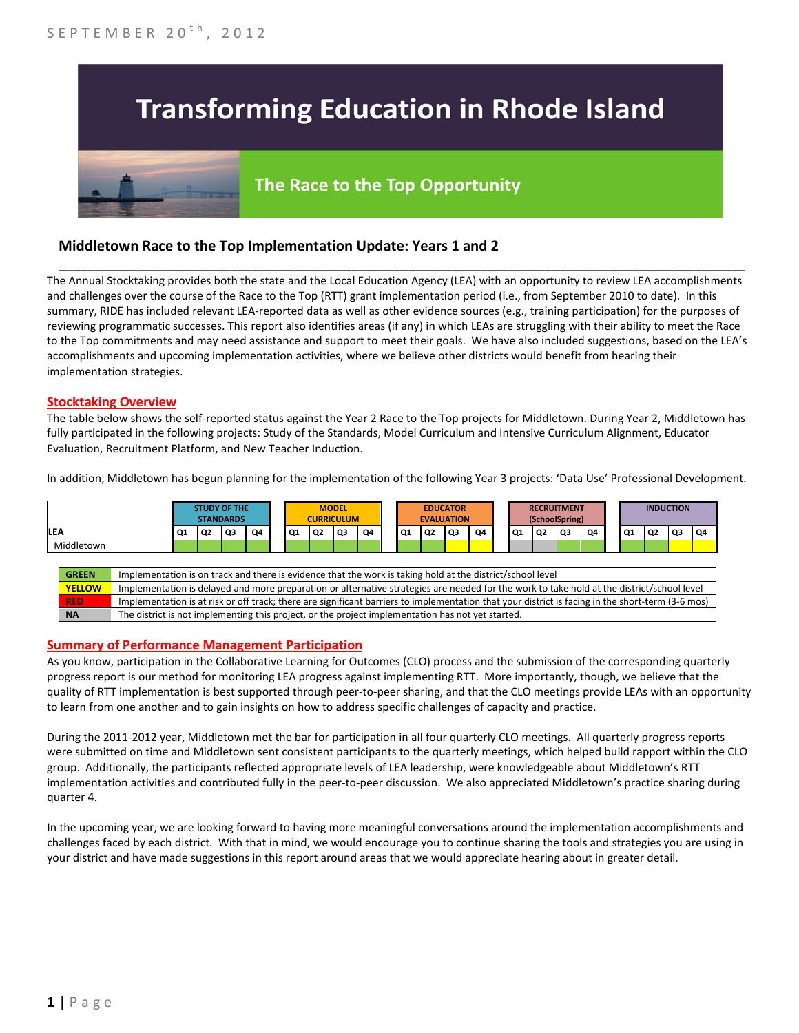# **Transforming Education in Rhode Island**

# The Race to the Top Opportunity

## **Middletown Race to the Top Implementation Update: Years 1 and 2**

The Annual Stocktaking provides both the state and the Local Education Agency (LEA) with an opportunity to review LEA accomplishments and challenges over the course of the Race to the Top (RTT) grant implementation period (i.e., from September 2010 to date). In this summary, RIDE has included relevant LEA-reported data as well as other evidence sources (e.g., training participation) for the purposes of reviewing programmatic successes. This report also identifies areas (if any) in which LEAs are struggling with their ability to meet the Race to the Top commitments and may need assistance and support to meet their goals. We have also included suggestions, based on the LEA's accomplishments and upcoming implementation activities, where we believe other districts would benefit from hearing their implementation strategies.

\_\_\_\_\_\_\_\_\_\_\_\_\_\_\_\_\_\_\_\_\_\_\_\_\_\_\_\_\_\_\_\_\_\_\_\_\_\_\_\_\_\_\_\_\_\_\_\_\_\_\_\_\_\_\_\_\_\_\_\_\_\_\_\_\_\_\_\_\_\_\_\_\_\_\_\_\_\_\_\_\_\_\_\_\_\_\_\_\_\_\_\_\_\_\_\_

#### **Stocktaking Overview**

The table below shows the self-reported status against the Year 2 Race to the Top projects for Middletown. During Year 2, Middletown has fully participated in the following projects: Study of the Standards, Model Curriculum and Intensive Curriculum Alignment, Educator Evaluation, Recruitment Platform, and New Teacher Induction.

In addition, Middletown has begun planning for the implementation of the following Year 3 projects: 'Data Use' Professional Development.

|                                                                                                                            | <b>STUDY OF THE</b><br><b>STANDARDS</b> |    |                |    |  | <b>MODEL</b><br><b>EDUCATOR</b><br><b>CURRICULUM</b><br><b>EVALUATION</b> |    |                |    | <b>RECRUITMENT</b><br>(SchoolSpring) |    |    |    |  | <b>INDUCTION</b> |    |                |    |    |    |    |    |
|----------------------------------------------------------------------------------------------------------------------------|-----------------------------------------|----|----------------|----|--|---------------------------------------------------------------------------|----|----------------|----|--------------------------------------|----|----|----|--|------------------|----|----------------|----|----|----|----|----|
| <b>LEA</b>                                                                                                                 | Q1                                      | Q2 | Q <sub>3</sub> | 04 |  | Q1                                                                        | Q2 | Q <sub>3</sub> | Q4 | Q1                                   | Q2 | Q3 | Q4 |  | Q1               | Q2 | Q <sub>3</sub> | O4 | Q1 | Q2 | Q3 | Q4 |
| Middletown                                                                                                                 |                                         |    |                |    |  |                                                                           |    |                |    |                                      |    |    |    |  |                  |    |                |    |    |    |    |    |
|                                                                                                                            |                                         |    |                |    |  |                                                                           |    |                |    |                                      |    |    |    |  |                  |    |                |    |    |    |    |    |
| Implementation is on track and there is evidence that the work is taking hold at the district/school level<br><b>GREEN</b> |                                         |    |                |    |  |                                                                           |    |                |    |                                      |    |    |    |  |                  |    |                |    |    |    |    |    |

| <b>YELLOW</b> | Implementation is delayed and more preparation or alternative strategies are needed for the work to take hold at the district/school level        |
|---------------|---------------------------------------------------------------------------------------------------------------------------------------------------|
| <b>RED</b>    | Implementation is at risk or off track; there are significant barriers to implementation that your district is facing in the short-term (3-6 mos) |
| <b>NA</b>     | The district is not implementing this project, or the project implementation has not yet started.                                                 |

#### **Summary of Performance Management Participation**

As you know, participation in the Collaborative Learning for Outcomes (CLO) process and the submission of the corresponding quarterly progress report is our method for monitoring LEA progress against implementing RTT. More importantly, though, we believe that the quality of RTT implementation is best supported through peer-to-peer sharing, and that the CLO meetings provide LEAs with an opportunity to learn from one another and to gain insights on how to address specific challenges of capacity and practice.

During the 2011-2012 year, Middletown met the bar for participation in all four quarterly CLO meetings. All quarterly progress reports were submitted on time and Middletown sent consistent participants to the quarterly meetings, which helped build rapport within the CLO group. Additionally, the participants reflected appropriate levels of LEA leadership, were knowledgeable about Middletown's RTT implementation activities and contributed fully in the peer-to-peer discussion. We also appreciated Middletown's practice sharing during quarter 4.

In the upcoming year, we are looking forward to having more meaningful conversations around the implementation accomplishments and challenges faced by each district. With that in mind, we would encourage you to continue sharing the tools and strategies you are using in your district and have made suggestions in this report around areas that we would appreciate hearing about in greater detail.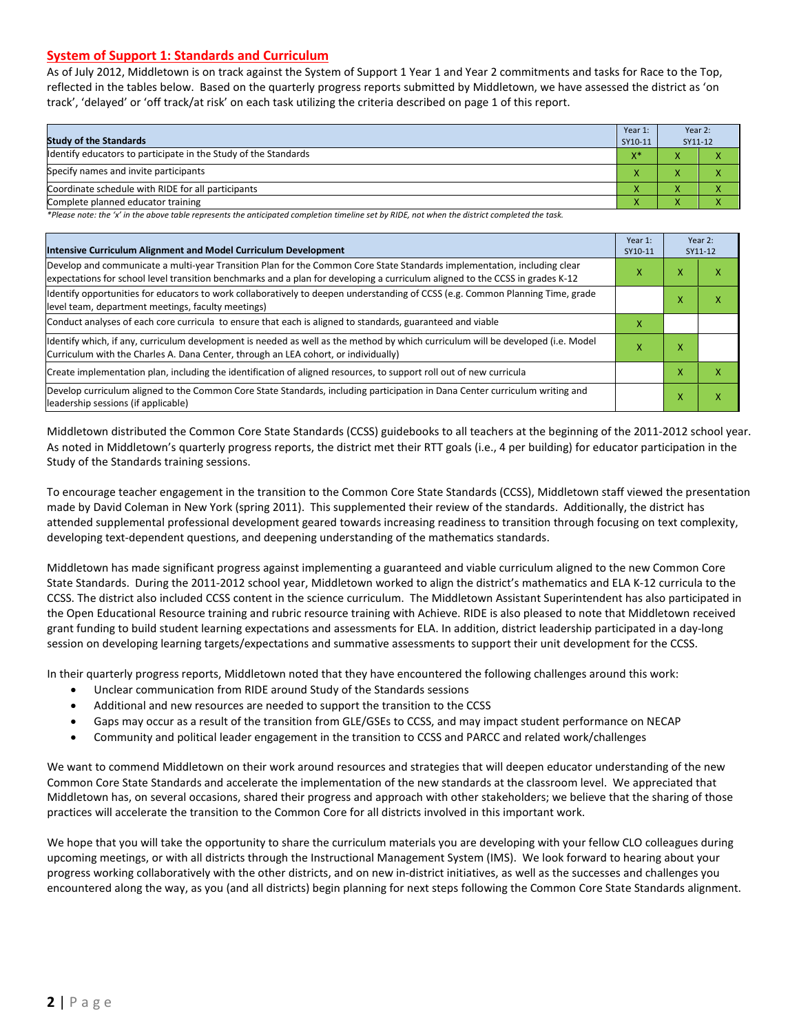#### **System of Support 1: Standards and Curriculum**

As of July 2012, Middletown is on track against the System of Support 1 Year 1 and Year 2 commitments and tasks for Race to the Top, reflected in the tables below. Based on the quarterly progress reports submitted by Middletown, we have assessed the district as 'on track', 'delayed' or 'off track/at risk' on each task utilizing the criteria described on page 1 of this report.

| <b>Study of the Standards</b>                                   | Year 1:<br>SY10-11 | Year 2:<br>SY11-12 |  |
|-----------------------------------------------------------------|--------------------|--------------------|--|
| Identify educators to participate in the Study of the Standards | $X^*$              |                    |  |
| Specify names and invite participants                           |                    |                    |  |
| Coordinate schedule with RIDE for all participants              |                    |                    |  |
| Complete planned educator training                              |                    |                    |  |

*\*Please note: the 'x' in the above table represents the anticipated completion timeline set by RIDE, not when the district completed the task.*

| Intensive Curriculum Alignment and Model Curriculum Development                                                                                                                                                                                           | Year 1:<br>SY10-11 |                   | Year 2:<br>SY11-12 |
|-----------------------------------------------------------------------------------------------------------------------------------------------------------------------------------------------------------------------------------------------------------|--------------------|-------------------|--------------------|
| Develop and communicate a multi-year Transition Plan for the Common Core State Standards implementation, including clear<br>expectations for school level transition benchmarks and a plan for developing a curriculum aligned to the CCSS in grades K-12 | x                  | x                 | χ                  |
| Identify opportunities for educators to work collaboratively to deepen understanding of CCSS (e.g. Common Planning Time, grade<br>level team, department meetings, faculty meetings)                                                                      |                    | $\checkmark$<br>v | x                  |
| Conduct analyses of each core curricula to ensure that each is aligned to standards, guaranteed and viable                                                                                                                                                | x                  |                   |                    |
| ldentify which, if any, curriculum development is needed as well as the method by which curriculum will be developed (i.e. Model<br>Curriculum with the Charles A. Dana Center, through an LEA cohort, or individually)                                   | x                  | x                 |                    |
| Create implementation plan, including the identification of aligned resources, to support roll out of new curricula                                                                                                                                       |                    | x                 | χ                  |
| Develop curriculum aligned to the Common Core State Standards, including participation in Dana Center curriculum writing and<br>leadership sessions (if applicable)                                                                                       |                    | x                 | χ                  |

Middletown distributed the Common Core State Standards (CCSS) guidebooks to all teachers at the beginning of the 2011-2012 school year. As noted in Middletown's quarterly progress reports, the district met their RTT goals (i.e., 4 per building) for educator participation in the Study of the Standards training sessions.

To encourage teacher engagement in the transition to the Common Core State Standards (CCSS), Middletown staff viewed the presentation made by David Coleman in New York (spring 2011). This supplemented their review of the standards. Additionally, the district has attended supplemental professional development geared towards increasing readiness to transition through focusing on text complexity, developing text-dependent questions, and deepening understanding of the mathematics standards.

Middletown has made significant progress against implementing a guaranteed and viable curriculum aligned to the new Common Core State Standards. During the 2011-2012 school year, Middletown worked to align the district's mathematics and ELA K-12 curricula to the CCSS. The district also included CCSS content in the science curriculum. The Middletown Assistant Superintendent has also participated in the Open Educational Resource training and rubric resource training with Achieve. RIDE is also pleased to note that Middletown received grant funding to build student learning expectations and assessments for ELA. In addition, district leadership participated in a day-long session on developing learning targets/expectations and summative assessments to support their unit development for the CCSS.

In their quarterly progress reports, Middletown noted that they have encountered the following challenges around this work:

- Unclear communication from RIDE around Study of the Standards sessions
- Additional and new resources are needed to support the transition to the CCSS
- Gaps may occur as a result of the transition from GLE/GSEs to CCSS, and may impact student performance on NECAP
- Community and political leader engagement in the transition to CCSS and PARCC and related work/challenges

We want to commend Middletown on their work around resources and strategies that will deepen educator understanding of the new Common Core State Standards and accelerate the implementation of the new standards at the classroom level. We appreciated that Middletown has, on several occasions, shared their progress and approach with other stakeholders; we believe that the sharing of those practices will accelerate the transition to the Common Core for all districts involved in this important work.

We hope that you will take the opportunity to share the curriculum materials you are developing with your fellow CLO colleagues during upcoming meetings, or with all districts through the Instructional Management System (IMS). We look forward to hearing about your progress working collaboratively with the other districts, and on new in-district initiatives, as well as the successes and challenges you encountered along the way, as you (and all districts) begin planning for next steps following the Common Core State Standards alignment.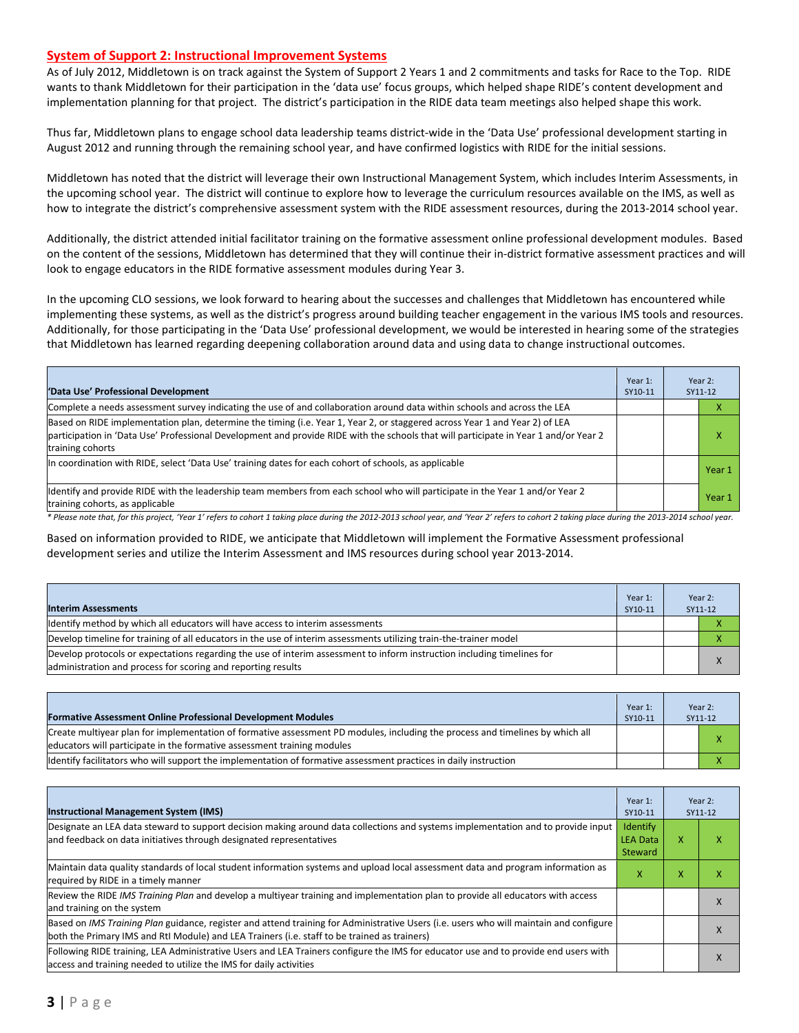#### **System of Support 2: Instructional Improvement Systems**

As of July 2012, Middletown is on track against the System of Support 2 Years 1 and 2 commitments and tasks for Race to the Top. RIDE wants to thank Middletown for their participation in the 'data use' focus groups, which helped shape RIDE's content development and implementation planning for that project. The district's participation in the RIDE data team meetings also helped shape this work.

Thus far, Middletown plans to engage school data leadership teams district-wide in the 'Data Use' professional development starting in August 2012 and running through the remaining school year, and have confirmed logistics with RIDE for the initial sessions.

Middletown has noted that the district will leverage their own Instructional Management System, which includes Interim Assessments, in the upcoming school year. The district will continue to explore how to leverage the curriculum resources available on the IMS, as well as how to integrate the district's comprehensive assessment system with the RIDE assessment resources, during the 2013-2014 school year.

Additionally, the district attended initial facilitator training on the formative assessment online professional development modules. Based on the content of the sessions, Middletown has determined that they will continue their in-district formative assessment practices and will look to engage educators in the RIDE formative assessment modules during Year 3.

In the upcoming CLO sessions, we look forward to hearing about the successes and challenges that Middletown has encountered while implementing these systems, as well as the district's progress around building teacher engagement in the various IMS tools and resources. Additionally, for those participating in the 'Data Use' professional development, we would be interested in hearing some of the strategies that Middletown has learned regarding deepening collaboration around data and using data to change instructional outcomes.

| 'Data Use' Professional Development                                                                                                                                                                                                                                                     | Year 1:<br>SY10-11 | Year 2:<br>SY11-12 |
|-----------------------------------------------------------------------------------------------------------------------------------------------------------------------------------------------------------------------------------------------------------------------------------------|--------------------|--------------------|
| Complete a needs assessment survey indicating the use of and collaboration around data within schools and across the LEA                                                                                                                                                                |                    | ⋏                  |
| Based on RIDE implementation plan, determine the timing (i.e. Year 1, Year 2, or staggered across Year 1 and Year 2) of LEA<br>participation in 'Data Use' Professional Development and provide RIDE with the schools that will participate in Year 1 and/or Year 2<br>training cohorts |                    | x                  |
| In coordination with RIDE, select 'Data Use' training dates for each cohort of schools, as applicable                                                                                                                                                                                   |                    | Year 1             |
| Identify and provide RIDE with the leadership team members from each school who will participate in the Year 1 and/or Year 2<br>training cohorts, as applicable                                                                                                                         |                    | Year 1             |

*\* Please note that, for this project, 'Year 1' refers to cohort 1 taking place during the 2012-2013 school year, and 'Year 2' refers to cohort 2 taking place during the 2013-2014 school year.*

Based on information provided to RIDE, we anticipate that Middletown will implement the Formative Assessment professional development series and utilize the Interim Assessment and IMS resources during school year 2013-2014.

| <b>Interim Assessments</b>                                                                                                                                                              | Year 1:<br>SY10-11 | Year 2:<br>SY11-12 |
|-----------------------------------------------------------------------------------------------------------------------------------------------------------------------------------------|--------------------|--------------------|
| Identify method by which all educators will have access to interim assessments                                                                                                          |                    |                    |
| Develop timeline for training of all educators in the use of interim assessments utilizing train-the-trainer model                                                                      |                    |                    |
| Develop protocols or expectations regarding the use of interim assessment to inform instruction including timelines for<br>administration and process for scoring and reporting results |                    | X                  |

|                                                                                                                               | Year 1: | Year 2: |
|-------------------------------------------------------------------------------------------------------------------------------|---------|---------|
| <b>Formative Assessment Online Professional Development Modules</b>                                                           | SY10-11 | SY11-12 |
| Create multiyear plan for implementation of formative assessment PD modules, including the process and timelines by which all |         |         |
| educators will participate in the formative assessment training modules                                                       |         |         |
| lidentify facilitators who will support the implementation of formative assessment practices in daily instruction             |         |         |

| <b>Instructional Management System (IMS)</b>                                                                                                                                                                                           | Year 1:<br>SY10-11                            |   | Year 2:<br>SY11-12 |
|----------------------------------------------------------------------------------------------------------------------------------------------------------------------------------------------------------------------------------------|-----------------------------------------------|---|--------------------|
| Designate an LEA data steward to support decision making around data collections and systems implementation and to provide input<br>and feedback on data initiatives through designated representatives                                | <b>Identify</b><br><b>LEA Data</b><br>Steward | x |                    |
| Maintain data quality standards of local student information systems and upload local assessment data and program information as<br>required by RIDE in a timely manner                                                                | x                                             | x |                    |
| Review the RIDE IMS Training Plan and develop a multiyear training and implementation plan to provide all educators with access<br>and training on the system                                                                          |                                               |   |                    |
| Based on IMS Training Plan guidance, register and attend training for Administrative Users (i.e. users who will maintain and configure<br>both the Primary IMS and RtI Module) and LEA Trainers (i.e. staff to be trained as trainers) |                                               |   |                    |
| Following RIDE training, LEA Administrative Users and LEA Trainers configure the IMS for educator use and to provide end users with<br>access and training needed to utilize the IMS for daily activities                              |                                               |   |                    |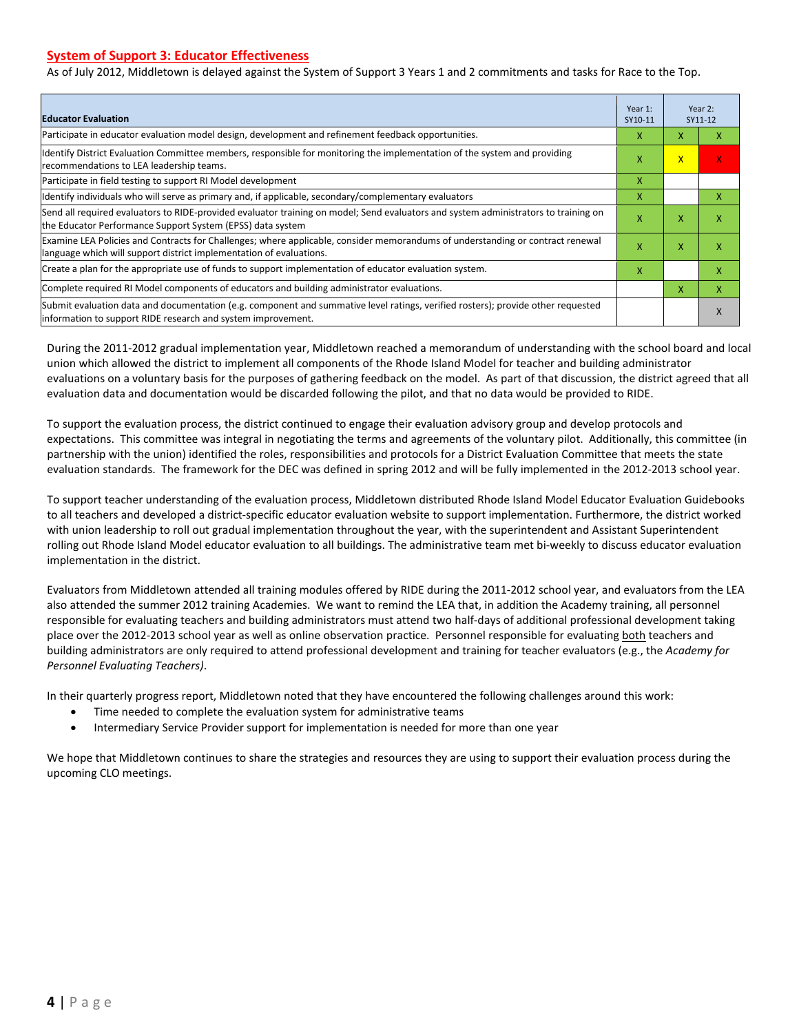#### **System of Support 3: Educator Effectiveness**

As of July 2012, Middletown is delayed against the System of Support 3 Years 1 and 2 commitments and tasks for Race to the Top.

| <b>Educator Evaluation</b>                                                                                                                                                                            | Year 1:<br>SY10-11 |                         | Year 2:<br>SY11-12 |  |
|-------------------------------------------------------------------------------------------------------------------------------------------------------------------------------------------------------|--------------------|-------------------------|--------------------|--|
| Participate in educator evaluation model design, development and refinement feedback opportunities.                                                                                                   | x                  | X                       | x                  |  |
| Identify District Evaluation Committee members, responsible for monitoring the implementation of the system and providing<br>recommendations to LEA leadership teams.                                 | X                  | $\overline{\mathsf{x}}$ | X                  |  |
| Participate in field testing to support RI Model development                                                                                                                                          | X                  |                         |                    |  |
| ldentify individuals who will serve as primary and, if applicable, secondary/complementary evaluators                                                                                                 | X                  |                         | x                  |  |
| Send all required evaluators to RIDE-provided evaluator training on model; Send evaluators and system administrators to training on<br>the Educator Performance Support System (EPSS) data system     | X                  | X                       | X                  |  |
| Examine LEA Policies and Contracts for Challenges; where applicable, consider memorandums of understanding or contract renewal<br>language which will support district implementation of evaluations. | X                  | X                       | X                  |  |
| Create a plan for the appropriate use of funds to support implementation of educator evaluation system.                                                                                               | x                  |                         | x                  |  |
| Complete required RI Model components of educators and building administrator evaluations.                                                                                                            |                    | x                       | x                  |  |
| Submit evaluation data and documentation (e.g. component and summative level ratings, verified rosters); provide other requested<br>information to support RIDE research and system improvement.      |                    |                         | X                  |  |

During the 2011-2012 gradual implementation year, Middletown reached a memorandum of understanding with the school board and local union which allowed the district to implement all components of the Rhode Island Model for teacher and building administrator evaluations on a voluntary basis for the purposes of gathering feedback on the model. As part of that discussion, the district agreed that all evaluation data and documentation would be discarded following the pilot, and that no data would be provided to RIDE.

To support the evaluation process, the district continued to engage their evaluation advisory group and develop protocols and expectations. This committee was integral in negotiating the terms and agreements of the voluntary pilot. Additionally, this committee (in partnership with the union) identified the roles, responsibilities and protocols for a District Evaluation Committee that meets the state evaluation standards. The framework for the DEC was defined in spring 2012 and will be fully implemented in the 2012-2013 school year.

To support teacher understanding of the evaluation process, Middletown distributed Rhode Island Model Educator Evaluation Guidebooks to all teachers and developed a district-specific educator evaluation website to support implementation. Furthermore, the district worked with union leadership to roll out gradual implementation throughout the year, with the superintendent and Assistant Superintendent rolling out Rhode Island Model educator evaluation to all buildings. The administrative team met bi-weekly to discuss educator evaluation implementation in the district.

Evaluators from Middletown attended all training modules offered by RIDE during the 2011-2012 school year, and evaluators from the LEA also attended the summer 2012 training Academies. We want to remind the LEA that, in addition the Academy training, all personnel responsible for evaluating teachers and building administrators must attend two half-days of additional professional development taking place over the 2012-2013 school year as well as online observation practice. Personnel responsible for evaluating both teachers and building administrators are only required to attend professional development and training for teacher evaluators (e.g., the *Academy for Personnel Evaluating Teachers)*.

In their quarterly progress report, Middletown noted that they have encountered the following challenges around this work:

- Time needed to complete the evaluation system for administrative teams
- Intermediary Service Provider support for implementation is needed for more than one year

We hope that Middletown continues to share the strategies and resources they are using to support their evaluation process during the upcoming CLO meetings.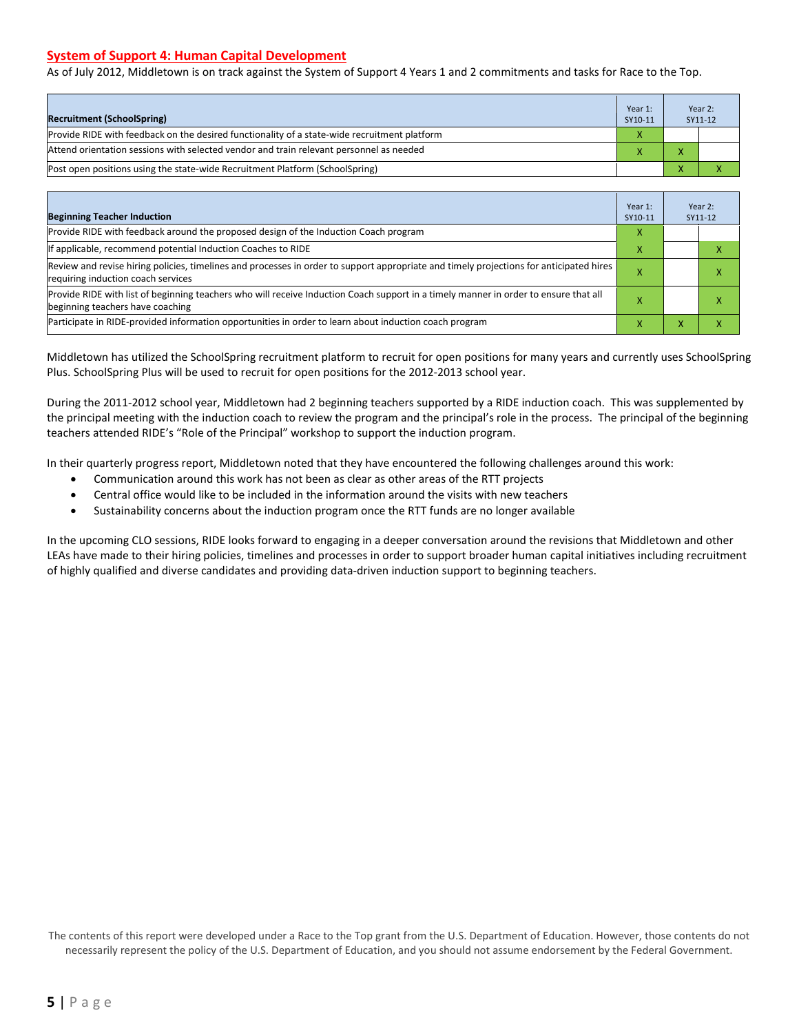#### **System of Support 4: Human Capital Development**

As of July 2012, Middletown is on track against the System of Support 4 Years 1 and 2 commitments and tasks for Race to the Top.

| <b>Recruitment (SchoolSpring)</b>                                                            | Year 1:<br>SY10-11 | Year 2:<br>SY11-12 |
|----------------------------------------------------------------------------------------------|--------------------|--------------------|
| Provide RIDE with feedback on the desired functionality of a state-wide recruitment platform | X                  |                    |
| Attend orientation sessions with selected vendor and train relevant personnel as needed      |                    |                    |
| [Post open positions using the state-wide Recruitment Platform (SchoolSpring)                |                    |                    |

| <b>Beginning Teacher Induction</b>                                                                                                                                            | Year 1:<br>SY10-11 | Year 2:<br>SY11-12 |
|-------------------------------------------------------------------------------------------------------------------------------------------------------------------------------|--------------------|--------------------|
| Provide RIDE with feedback around the proposed design of the Induction Coach program                                                                                          | x                  |                    |
| If applicable, recommend potential Induction Coaches to RIDE                                                                                                                  | x                  |                    |
| Review and revise hiring policies, timelines and processes in order to support appropriate and timely projections for anticipated hires<br>requiring induction coach services |                    |                    |
| Provide RIDE with list of beginning teachers who will receive Induction Coach support in a timely manner in order to ensure that all<br>beginning teachers have coaching      |                    |                    |
| Participate in RIDE-provided information opportunities in order to learn about induction coach program                                                                        |                    |                    |

Middletown has utilized the SchoolSpring recruitment platform to recruit for open positions for many years and currently uses SchoolSpring Plus. SchoolSpring Plus will be used to recruit for open positions for the 2012-2013 school year.

During the 2011-2012 school year, Middletown had 2 beginning teachers supported by a RIDE induction coach. This was supplemented by the principal meeting with the induction coach to review the program and the principal's role in the process. The principal of the beginning teachers attended RIDE's "Role of the Principal" workshop to support the induction program.

In their quarterly progress report, Middletown noted that they have encountered the following challenges around this work:

- Communication around this work has not been as clear as other areas of the RTT projects
- Central office would like to be included in the information around the visits with new teachers
- Sustainability concerns about the induction program once the RTT funds are no longer available

In the upcoming CLO sessions, RIDE looks forward to engaging in a deeper conversation around the revisions that Middletown and other LEAs have made to their hiring policies, timelines and processes in order to support broader human capital initiatives including recruitment of highly qualified and diverse candidates and providing data-driven induction support to beginning teachers.

The contents of this report were developed under a Race to the Top grant from the U.S. Department of Education. However, those contents do not necessarily represent the policy of the U.S. Department of Education, and you should not assume endorsement by the Federal Government.